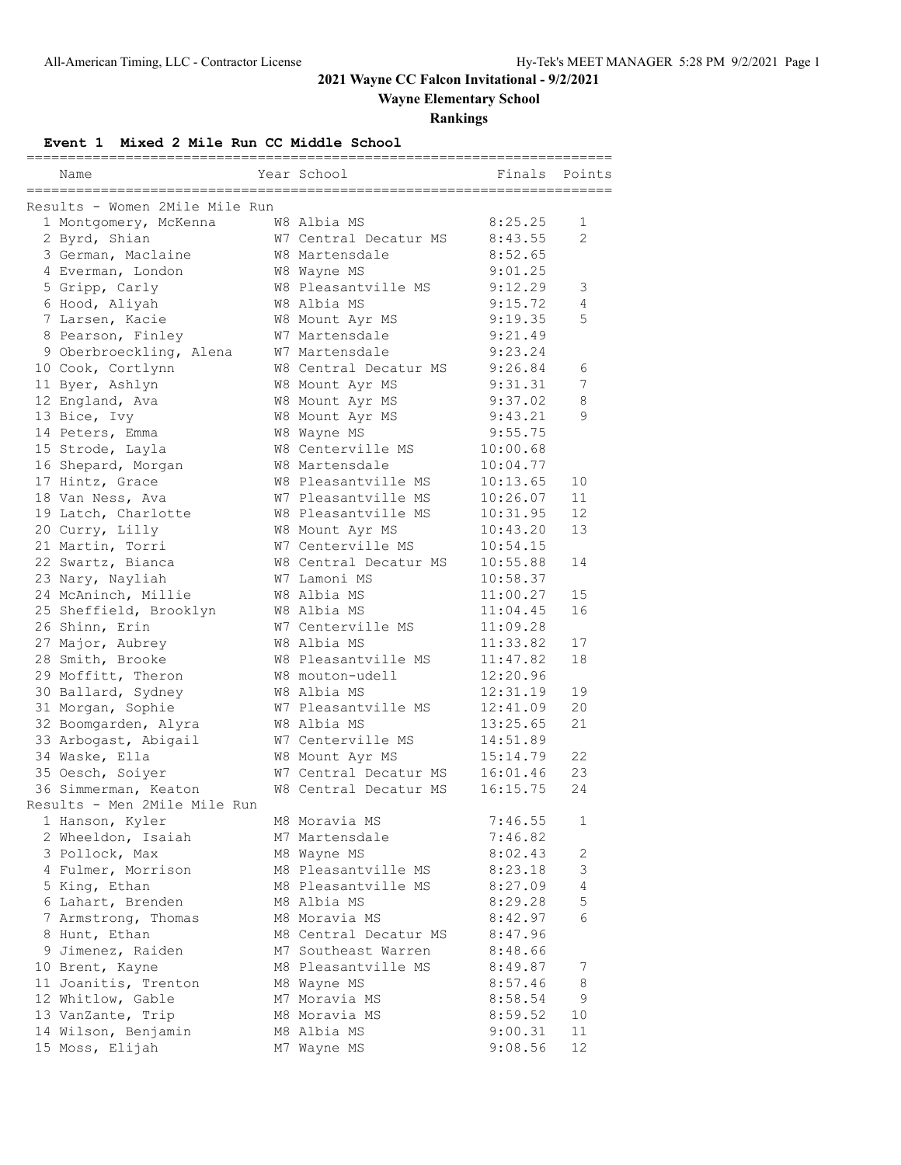# **2021 Wayne CC Falcon Invitational - 9/2/2021**

**Wayne Elementary School**

**Rankings**

**Event 1 Mixed 2 Mile Run CC Middle School**

| Name                           | seesseesses | Year School           | Finals   | Points         |
|--------------------------------|-------------|-----------------------|----------|----------------|
| Results - Women 2Mile Mile Run |             |                       |          |                |
| 1 Montgomery, McKenna          |             | W8 Albia MS           | 8:25.25  | 1              |
| 2 Byrd, Shian                  |             | W7 Central Decatur MS | 8:43.55  | $\mathfrak{D}$ |
| 3 German, Maclaine             |             | W8 Martensdale        | 8:52.65  |                |
| 4 Everman, London              |             | W8 Wayne MS           | 9:01.25  |                |
| 5 Gripp, Carly                 |             | W8 Pleasantville MS   | 9:12.29  | 3              |
| 6 Hood, Aliyah                 |             | W8 Albia MS           | 9:15.72  | 4              |
| 7 Larsen, Kacie                |             | W8 Mount Ayr MS       | 9:19.35  | 5              |
| 8 Pearson, Finley              |             | W7 Martensdale        | 9:21.49  |                |
| 9 Oberbroeckling, Alena        |             | W7 Martensdale        | 9:23.24  |                |
| 10 Cook, Cortlynn              |             | W8 Central Decatur MS | 9:26.84  | 6              |
| 11 Byer, Ashlyn                |             | W8 Mount Ayr MS       | 9:31.31  | 7              |
| 12 England, Ava                |             | W8 Mount Ayr MS       | 9:37.02  | 8              |
| 13 Bice, Ivy                   |             | W8 Mount Ayr MS       | 9:43.21  | 9              |
| 14 Peters, Emma                |             | W8 Wayne MS           | 9:55.75  |                |
| 15 Strode, Layla               |             | W8 Centerville MS     | 10:00.68 |                |
| 16 Shepard, Morgan             |             | W8 Martensdale        | 10:04.77 |                |
| 17 Hintz, Grace                |             | W8 Pleasantville MS   | 10:13.65 | 10             |
| 18 Van Ness, Ava               |             | W7 Pleasantville MS   | 10:26.07 | 11             |
| 19 Latch, Charlotte            |             | W8 Pleasantville MS   | 10:31.95 | 12             |
| 20 Curry, Lilly                |             | W8 Mount Ayr MS       | 10:43.20 | 13             |
| 21 Martin, Torri               |             | W7 Centerville MS     | 10:54.15 |                |
| 22 Swartz, Bianca              |             | W8 Central Decatur MS | 10:55.88 | 14             |
| 23 Nary, Nayliah               |             | W7 Lamoni MS          | 10:58.37 |                |
| 24 McAninch, Millie            |             | W8 Albia MS           | 11:00.27 | 15             |
| 25 Sheffield, Brooklyn         |             | W8 Albia MS           | 11:04.45 | 16             |
| 26 Shinn, Erin                 |             | W7 Centerville MS     | 11:09.28 |                |
| 27 Major, Aubrey               |             | W8 Albia MS           | 11:33.82 | 17             |
| 28 Smith, Brooke               |             | W8 Pleasantville MS   | 11:47.82 | 18             |
| 29 Moffitt, Theron             |             | W8 mouton-udell       | 12:20.96 |                |
| 30 Ballard, Sydney             |             | W8 Albia MS           | 12:31.19 | 19             |
| 31 Morgan, Sophie              |             | W7 Pleasantville MS   | 12:41.09 | 20             |
| 32 Boomgarden, Alyra           |             | W8 Albia MS           | 13:25.65 | 21             |
| 33 Arbogast, Abigail           |             | W7 Centerville MS     | 14:51.89 |                |
| 34 Waske, Ella                 |             | W8 Mount Ayr MS       | 15:14.79 | 22             |
| 35 Oesch, Soiyer               |             | W7 Central Decatur MS | 16:01.46 | 23             |
| 36 Simmerman, Keaton           |             | W8 Central Decatur MS | 16:15.75 | 24             |
| Results - Men 2Mile Mile Run   |             |                       |          |                |
| 1 Hanson, Kyler                |             | M8 Moravia MS         | 7:46.55  | 1              |
| 2 Wheeldon, Isaiah             |             | M7 Martensdale        | 7:46.82  |                |
| 3 Pollock, Max                 |             | M8 Wayne MS           | 8:02.43  | 2              |
| 4 Fulmer, Morrison             |             | M8 Pleasantville MS   | 8:23.18  | 3              |
| 5 King, Ethan                  |             | M8 Pleasantville MS   | 8:27.09  | $\overline{4}$ |
| 6 Lahart, Brenden              |             | M8 Albia MS           | 8:29.28  | 5              |
| 7 Armstrong, Thomas            |             | M8 Moravia MS         | 8:42.97  | 6              |
| 8 Hunt, Ethan                  |             | M8 Central Decatur MS | 8:47.96  |                |
| 9 Jimenez, Raiden              |             | M7 Southeast Warren   | 8:48.66  |                |
| 10 Brent, Kayne                |             | M8 Pleasantville MS   | 8:49.87  | 7              |
| 11 Joanitis, Trenton           |             | M8 Wayne MS           | 8:57.46  | 8              |
| 12 Whitlow, Gable              |             | M7 Moravia MS         | 8:58.54  | 9              |
| 13 VanZante, Trip              |             | M8 Moravia MS         | 8:59.52  | 10             |
| 14 Wilson, Benjamin            |             | M8 Albia MS           | 9:00.31  | 11             |
| 15 Moss, Elijah                |             | M7 Wayne MS           | 9:08.56  | 12             |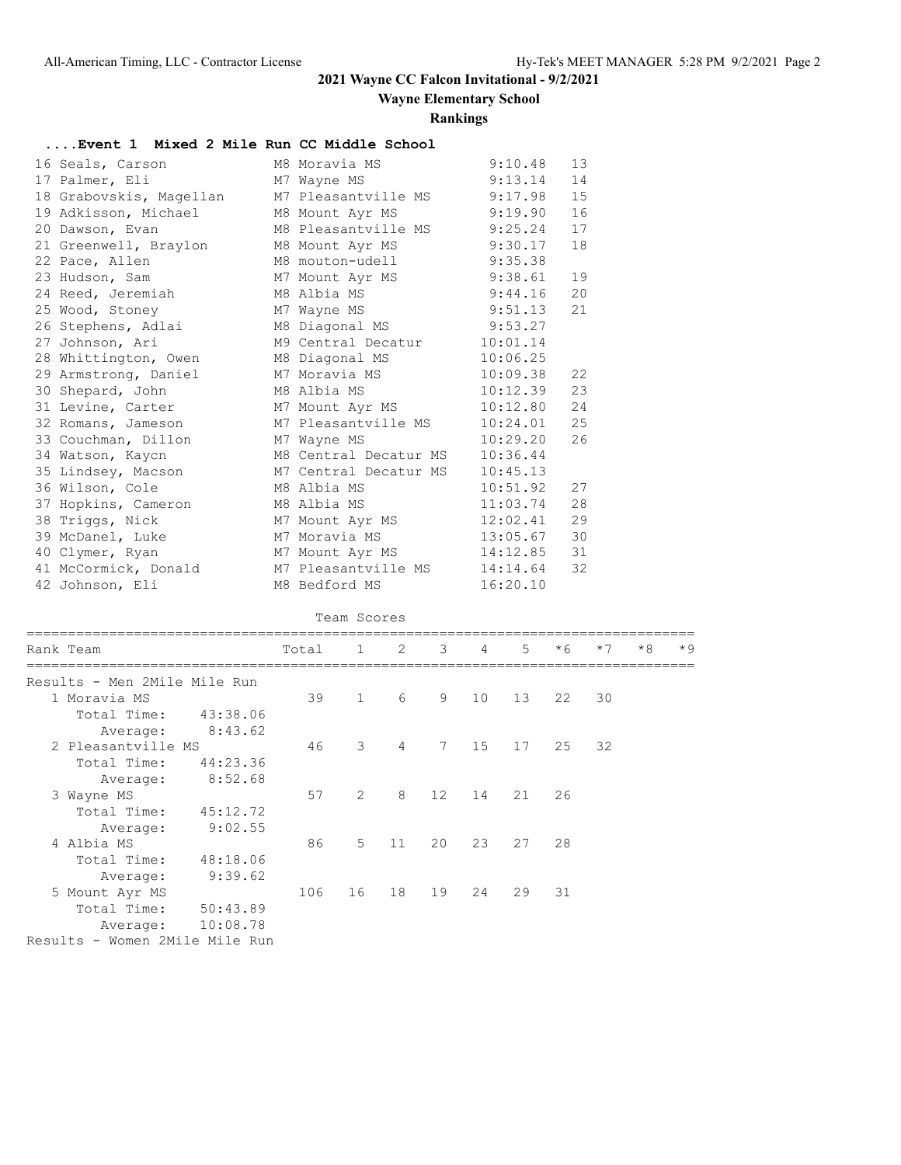## **2021 Wayne CC Falcon Invitational - 9/2/2021**

**Wayne Elementary School**

#### **Rankings**

## **....Event 1 Mixed 2 Mile Run CC Middle School**

| 16 Seals, Carson                  | M8 Moravia MS          | 9:10.48  | 13  |
|-----------------------------------|------------------------|----------|-----|
| 17 Palmer, Eli                    | M7 Wayne MS            | 9:13.14  | 14  |
| 18 Grabovskis, Magellan           | M7 Pleasantville MS    | 9:17.98  | 15  |
| 19 Adkisson, Michael              | M8 Mount Ayr MS        | 9:19.90  | 16  |
| 20 Dawson, Evan                   | M8 Pleasantville MS    | 9:25.24  | 17  |
| 21 Greenwell, Braylon             | M8 Mount Ayr MS        | 9:30.17  | 18  |
| 22 Pace, Allen                    | M8 mouton-udell        | 9:35.38  |     |
| 23 Hudson, Sam                    | M7 Mount Ayr MS        | 9:38.61  | 19  |
| 24 Reed, Jeremiah                 | M8 Albia MS            | 9:44.16  | 20  |
| 25 Wood, Stoney                   | M7 Wayne MS            | 9:51.13  | 21  |
| 26 Stephens, Adlai                | M8 Diagonal MS 9:53.27 |          |     |
| 27 Johnson, Ari                   | M9 Central Decatur     | 10:01.14 |     |
| 28 Whittington, Owen              | M8 Diagonal MS         | 10:06.25 |     |
| 29 Armstrong, Daniel              | M7 Moravia MS          | 10:09.38 | 22  |
| 30 Shepard, John                  | M8 Albia MS            | 10:12.39 | 23  |
| 31 Levine, Carter M7 Mount Ayr MS |                        | 10:12.80 | 2.4 |
| 32 Romans, Jameson                | M7 Pleasantville MS    | 10:24.01 | 25  |
| 33 Couchman, Dillon               | M7 Wayne MS            | 10:29.20 | 26  |
| 34 Watson, Kaycn                  | M8 Central Decatur MS  | 10:36.44 |     |
| 35 Lindsey, Macson                | M7 Central Decatur MS  | 10:45.13 |     |
| 36 Wilson, Cole                   | M8 Albia MS            | 10:51.92 | 27  |
| 37 Hopkins, Cameron               | M8 Albia MS            | 11:03.74 | 28  |
| 38 Triggs, Nick                   | M7 Mount Ayr MS        | 12:02.41 | 29  |
| 39 McDanel, Luke                  | M7 Moravia MS          | 13:05.67 | 30  |
| 40 Clymer, Ryan                   | M7 Mount Ayr MS        | 14:12.85 | 31  |
| 41 McCormick, Donald              | M7 Pleasantville MS    | 14:14.64 | 32  |
| 42 Johnson, Eli                   | M8 Bedford MS          | 16:20.10 |     |

#### Team Scores

| Rank Team                    |          | Total | 1             | -2             | $\mathcal{B}$ | 4  | 5  | $*6$ | $*7$ | $*8$ | $*9$ |
|------------------------------|----------|-------|---------------|----------------|---------------|----|----|------|------|------|------|
| Results - Men 2Mile Mile Run |          |       |               |                |               |    |    |      |      |      |      |
| 1 Moravia MS                 |          | 39    | 1             | 6              | 9             | 10 | 13 | 22   | 30   |      |      |
| Total Time:                  | 43:38.06 |       |               |                |               |    |    |      |      |      |      |
| Average:                     | 8:43.62  |       |               |                |               |    |    |      |      |      |      |
| 2 Pleasantville MS           |          | 46    | 3             | $\overline{4}$ | 7             | 15 | 17 | 25   | 32   |      |      |
| Total Time:                  | 44:23.36 |       |               |                |               |    |    |      |      |      |      |
| Average:                     | 8:52.68  |       |               |                |               |    |    |      |      |      |      |
| 3 Wayne MS                   |          | 57    | $\mathcal{L}$ | 8              | 12            | 14 | 21 | 26   |      |      |      |
| Total Time:                  | 45:12.72 |       |               |                |               |    |    |      |      |      |      |
| Average:                     | 9:02.55  |       |               |                |               |    |    |      |      |      |      |
| 4 Albia MS                   |          | 86    | 5             | 11             | 20            | 23 | 27 | 28   |      |      |      |
| Total Time:                  | 48:18.06 |       |               |                |               |    |    |      |      |      |      |
| Average:                     | 9:39.62  |       |               |                |               |    |    |      |      |      |      |
| 5 Mount Ayr MS               |          | 106   | 16            | 18             | 19            | 24 | 29 | 31   |      |      |      |
| Total Time:                  | 50:43.89 |       |               |                |               |    |    |      |      |      |      |
| Average:                     | 10:08.78 |       |               |                |               |    |    |      |      |      |      |
|                              |          |       |               |                |               |    |    |      |      |      |      |

Results - Women 2Mile Mile Run